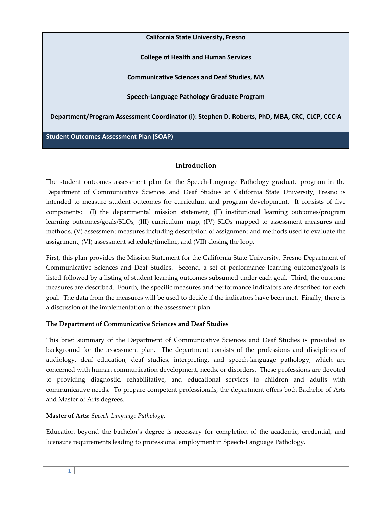**California State University, Fresno**

**College of Health and Human Services**

**Communicative Sciences and Deaf Studies, MA** 

**Speech-Language Pathology Graduate Program**

**Department/Program Assessment Coordinator (i): Stephen D. Roberts, PhD, MBA, CRC, CLCP, CCC-A**

**Student Outcomes Assessment Plan (SOAP)**

## **Introduction**

The student outcomes assessment plan for the Speech-Language Pathology graduate program in the Department of Communicative Sciences and Deaf Studies at California State University, Fresno is intended to measure student outcomes for curriculum and program development. It consists of five components: (I) the departmental mission statement*,* (II) institutional learning outcomes/program learning outcomes/goals/SLOs*,* (III) curriculum map, (IV) SLOs mapped to assessment measures and methods, (V) assessment measures including description of assignment and methods used to evaluate the assignment, (VI) assessment schedule/timeline, and (VII) closing the loop.

First, this plan provides the Mission Statement for the California State University, Fresno Department of Communicative Sciences and Deaf Studies. Second, a set of performance learning outcomes/goals is listed followed by a listing of student learning outcomes subsumed under each goal. Third, the outcome measures are described. Fourth, the specific measures and performance indicators are described for each goal. The data from the measures will be used to decide if the indicators have been met. Finally, there is a discussion of the implementation of the assessment plan.

## **The Department of Communicative Sciences and Deaf Studies**

This brief summary of the Department of Communicative Sciences and Deaf Studies is provided as background for the assessment plan. The department consists of the professions and disciplines of audiology, deaf education, deaf studies, interpreting, and speech-language pathology, which are concerned with human communication development, needs, or disorders. These professions are devoted to providing diagnostic, rehabilitative, and educational services to children and adults with communicative needs. To prepare competent professionals, the department offers both Bachelor of Arts and Master of Arts degrees.

## **Master of Arts:** *Speech-Language Pathology.*

Education beyond the bachelor's degree is necessary for completion of the academic, credential, and licensure requirements leading to professional employment in Speech-Language Pathology.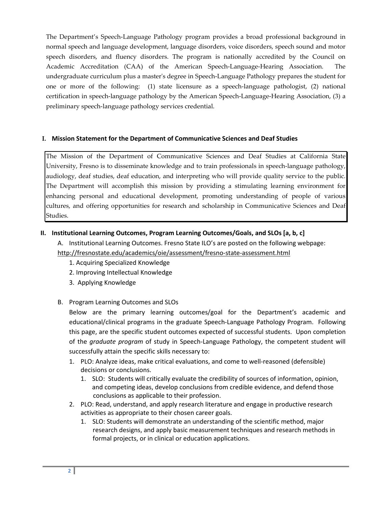The Department's Speech-Language Pathology program provides a broad professional background in normal speech and language development, language disorders, voice disorders, speech sound and motor speech disorders, and fluency disorders. The program is nationally accredited by the Council on Academic Accreditation (CAA) of the American Speech-Language-Hearing Association. The undergraduate curriculum plus a master's degree in Speech-Language Pathology prepares the student for one or more of the following: (1) state licensure as a speech-language pathologist, (2) national certification in speech-language pathology by the American Speech-Language-Hearing Association, (3) a preliminary speech-language pathology services credential.

### **I. Mission Statement for the Department of Communicative Sciences and Deaf Studies**

The Mission of the Department of Communicative Sciences and Deaf Studies at California State University, Fresno is to disseminate knowledge and to train professionals in speech-language pathology, audiology, deaf studies, deaf education, and interpreting who will provide quality service to the public. The Department will accomplish this mission by providing a stimulating learning environment for enhancing personal and educational development, promoting understanding of people of various cultures, and offering opportunities for research and scholarship in Communicative Sciences and Deaf Studies.

### **II. Institutional Learning Outcomes, Program Learning Outcomes/Goals, and SLOs [a, b, c]**

A. Institutional Learning Outcomes. Fresno State ILO's are posted on the following webpage:

<http://fresnostate.edu/academics/oie/assessment/fresno-state-assessment.html>

- 1. Acquiring Specialized Knowledge
- 2. Improving Intellectual Knowledge
- 3. Applying Knowledge
- B. Program Learning Outcomes and SLOs

Below are the primary learning outcomes/goal for the Department's academic and educational/clinical programs in the graduate Speech-Language Pathology Program. Following this page, are the specific student outcomes expected of successful students. Upon completion of the *graduate program* of study in Speech-Language Pathology, the competent student will successfully attain the specific skills necessary to:

- 1. PLO: Analyze ideas, make critical evaluations, and come to well-reasoned (defensible) decisions or conclusions.
	- 1. SLO: Students will critically evaluate the credibility of sources of information, opinion, and competing ideas, develop conclusions from credible evidence, and defend those conclusions as applicable to their profession.
- 2. PLO: Read, understand, and apply research literature and engage in productive research activities as appropriate to their chosen career goals.
	- 1. SLO: Students will demonstrate an understanding of the scientific method, major research designs, and apply basic measurement techniques and research methods in formal projects, or in clinical or education applications.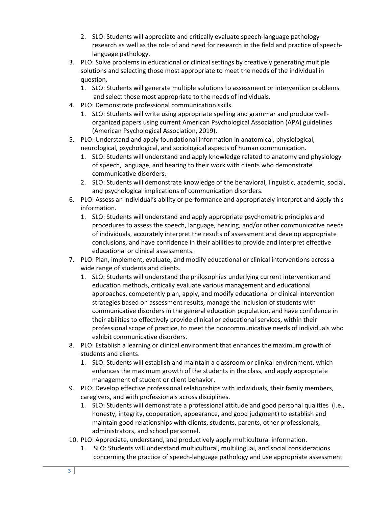- 2. SLO: Students will appreciate and critically evaluate speech-language pathology research as well as the role of and need for research in the field and practice of speechlanguage pathology.
- 3. PLO: Solve problems in educational or clinical settings by creatively generating multiple solutions and selecting those most appropriate to meet the needs of the individual in question.
	- 1. SLO: Students will generate multiple solutions to assessment or intervention problems and select those most appropriate to the needs of individuals.
- 4. PLO: Demonstrate professional communication skills.
	- 1. SLO: Students will write using appropriate spelling and grammar and produce wellorganized papers using current American Psychological Association (APA) guidelines (American Psychological Association, 2019).
- 5. PLO: Understand and apply foundational information in anatomical, physiological, neurological, psychological, and sociological aspects of human communication.
	- 1. SLO: Students will understand and apply knowledge related to anatomy and physiology of speech, language, and hearing to their work with clients who demonstrate communicative disorders.
	- 2. SLO: Students will demonstrate knowledge of the behavioral, linguistic, academic, social, and psychological implications of communication disorders.
- 6. PLO: Assess an individual's ability or performance and appropriately interpret and apply this information.
	- 1. SLO: Students will understand and apply appropriate psychometric principles and procedures to assess the speech, language, hearing, and/or other communicative needs of individuals, accurately interpret the results of assessment and develop appropriate conclusions, and have confidence in their abilities to provide and interpret effective educational or clinical assessments.
- 7. PLO: Plan, implement, evaluate, and modify educational or clinical interventions across a wide range of students and clients.
	- 1. SLO: Students will understand the philosophies underlying current intervention and education methods, critically evaluate various management and educational approaches, competently plan, apply, and modify educational or clinical intervention strategies based on assessment results, manage the inclusion of students with communicative disorders in the general education population, and have confidence in their abilities to effectively provide clinical or educational services, within their professional scope of practice, to meet the noncommunicative needs of individuals who exhibit communicative disorders.
- 8. PLO: Establish a learning or clinical environment that enhances the maximum growth of students and clients.
	- 1. SLO: Students will establish and maintain a classroom or clinical environment, which enhances the maximum growth of the students in the class, and apply appropriate management of student or client behavior.
- 9. PLO: Develop effective professional relationships with individuals, their family members, caregivers, and with professionals across disciplines.
	- 1. SLO: Students will demonstrate a professional attitude and good personal qualities (i.e., honesty, integrity, cooperation, appearance, and good judgment) to establish and maintain good relationships with clients, students, parents, other professionals, administrators, and school personnel.
- 10. PLO: Appreciate, understand, and productively apply multicultural information.
	- 1. SLO: Students will understand multicultural, multilingual, and social considerations concerning the practice of speech-language pathology and use appropriate assessment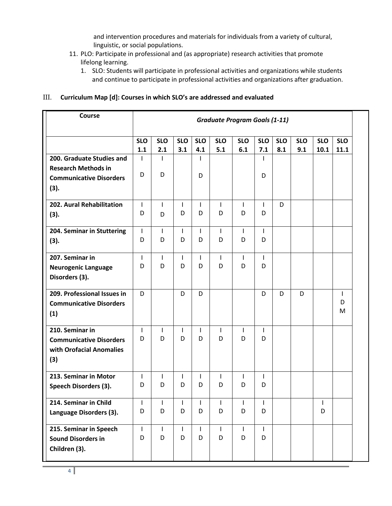and intervention procedures and materials for individuals from a variety of cultural, linguistic, or social populations.

- 11. PLO: Participate in professional and (as appropriate) research activities that promote lifelong learning.
	- 1. SLO: Students will participate in professional activities and organizations while students and continue to participate in professional activities and organizations after graduation.

## III. **Curriculum Map [d]: Courses in which SLO's are addressed and evaluated**

| Course                                |                   |                   |                   |                   | <b>Graduate Program Goals (1-11)</b> |                   |                   |                   |                   |                    |                    |
|---------------------------------------|-------------------|-------------------|-------------------|-------------------|--------------------------------------|-------------------|-------------------|-------------------|-------------------|--------------------|--------------------|
|                                       | <b>SLO</b><br>1.1 | <b>SLO</b><br>2.1 | <b>SLO</b><br>3.1 | <b>SLO</b><br>4.1 | <b>SLO</b><br>5.1                    | <b>SLO</b><br>6.1 | <b>SLO</b><br>7.1 | <b>SLO</b><br>8.1 | <b>SLO</b><br>9.1 | <b>SLO</b><br>10.1 | <b>SLO</b><br>11.1 |
| 200. Graduate Studies and             | L                 | T                 |                   | T                 |                                      |                   | $\mathbf{I}$      |                   |                   |                    |                    |
| <b>Research Methods in</b>            |                   |                   |                   |                   |                                      |                   |                   |                   |                   |                    |                    |
| <b>Communicative Disorders</b>        | D                 | D                 |                   | D                 |                                      |                   | D                 |                   |                   |                    |                    |
| (3).                                  |                   |                   |                   |                   |                                      |                   |                   |                   |                   |                    |                    |
| 202. Aural Rehabilitation             | T                 | $\mathbf{I}$      | T                 | T                 | $\mathbf{I}$                         | $\mathsf{I}$      | $\mathbf{I}$      | D                 |                   |                    |                    |
| (3).                                  | D                 | D                 | D                 | D                 | D                                    | D                 | D                 |                   |                   |                    |                    |
| 204. Seminar in Stuttering            | T                 | $\mathbf{I}$      | $\mathsf{I}$      | T                 | $\mathsf{I}$                         | T                 | $\mathbf{I}$      |                   |                   |                    |                    |
| (3).                                  | D                 | D                 | D                 | D                 | D                                    | D                 | D                 |                   |                   |                    |                    |
| 207. Seminar in                       | T                 | $\mathbf{I}$      | $\mathsf{I}$      | T                 | $\mathsf{I}$                         | $\mathsf{I}$      | T                 |                   |                   |                    |                    |
| <b>Neurogenic Language</b>            | D                 | D                 | D                 | D                 | D                                    | D                 | D                 |                   |                   |                    |                    |
| Disorders (3).                        |                   |                   |                   |                   |                                      |                   |                   |                   |                   |                    |                    |
| 209. Professional Issues in           | D                 |                   | D                 | D                 |                                      |                   | D                 | D                 | D                 |                    | $\mathbf{I}$       |
| <b>Communicative Disorders</b><br>(1) |                   |                   |                   |                   |                                      |                   |                   |                   |                   |                    | D<br>M             |
| 210. Seminar in                       | ı                 | $\mathbf{I}$      | T                 | T                 | $\mathsf{I}$                         | T                 | $\mathbf{I}$      |                   |                   |                    |                    |
| <b>Communicative Disorders</b>        | D                 | D                 | D                 | D                 | D                                    | D                 | D                 |                   |                   |                    |                    |
| with Orofacial Anomalies              |                   |                   |                   |                   |                                      |                   |                   |                   |                   |                    |                    |
| (3)                                   |                   |                   |                   |                   |                                      |                   |                   |                   |                   |                    |                    |
| 213. Seminar in Motor                 | ı                 | $\mathbf{I}$      | T                 | $\mathbf{I}$      | $\mathsf{I}$                         | T                 | $\mathbf{I}$      |                   |                   |                    |                    |
| Speech Disorders (3).                 | D                 | D                 | D                 | D                 | D                                    | D                 | D                 |                   |                   |                    |                    |
| 214. Seminar in Child                 |                   | I                 | I                 | $\mathsf{l}$      | L                                    | T                 | $\mathbf{I}$      |                   |                   | I                  |                    |
| Language Disorders (3).               | D                 | D                 | D                 | D                 | D                                    | D                 | D                 |                   |                   | D                  |                    |
| 215. Seminar in Speech                | I                 | I.                | $\mathsf{I}$      | T                 | $\mathsf{I}$                         | $\mathsf{I}$      | T                 |                   |                   |                    |                    |
| <b>Sound Disorders in</b>             | D                 | D                 | D                 | D                 | D                                    | D                 | D                 |                   |                   |                    |                    |
| Children (3).                         |                   |                   |                   |                   |                                      |                   |                   |                   |                   |                    |                    |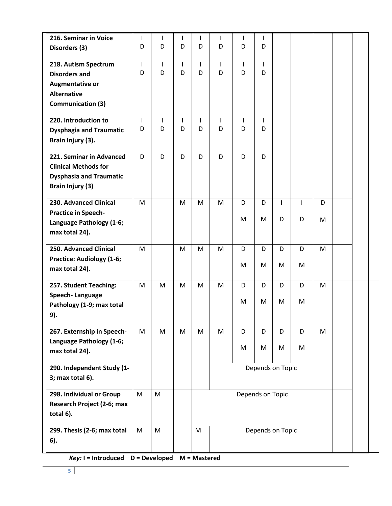| 216. Seminar in Voice            | ı | I            | ı | L            | ı            | $\mathbf{I}$     | $\mathbf{I}$ |                  |   |   |  |  |
|----------------------------------|---|--------------|---|--------------|--------------|------------------|--------------|------------------|---|---|--|--|
| Disorders (3)                    | D | D            | D | D            | D            | D                | D            |                  |   |   |  |  |
|                                  |   |              |   |              |              |                  |              |                  |   |   |  |  |
| 218. Autism Spectrum             | T | $\mathbf{I}$ | T | T            | $\mathbf{I}$ | $\mathbf{I}$     | $\mathbf{I}$ |                  |   |   |  |  |
| <b>Disorders and</b>             | D | D            | D | D            | D            | D                | D            |                  |   |   |  |  |
| <b>Augmentative or</b>           |   |              |   |              |              |                  |              |                  |   |   |  |  |
| <b>Alternative</b>               |   |              |   |              |              |                  |              |                  |   |   |  |  |
| <b>Communication (3)</b>         |   |              |   |              |              |                  |              |                  |   |   |  |  |
|                                  |   |              |   |              |              |                  |              |                  |   |   |  |  |
| 220. Introduction to             | T | 1            | L | $\mathbf{I}$ | $\mathbf{I}$ | I.               | L            |                  |   |   |  |  |
| <b>Dysphagia and Traumatic</b>   | D | D            | D | D            | D            | D                | D            |                  |   |   |  |  |
| Brain Injury (3).                |   |              |   |              |              |                  |              |                  |   |   |  |  |
|                                  |   |              |   |              |              |                  |              |                  |   |   |  |  |
| 221. Seminar in Advanced         | D | D            | D | D            | D            | D                | D            |                  |   |   |  |  |
| <b>Clinical Methods for</b>      |   |              |   |              |              |                  |              |                  |   |   |  |  |
| <b>Dysphasia and Traumatic</b>   |   |              |   |              |              |                  |              |                  |   |   |  |  |
| Brain Injury (3)                 |   |              |   |              |              |                  |              |                  |   |   |  |  |
|                                  |   |              |   |              |              |                  |              |                  |   |   |  |  |
| 230. Advanced Clinical           | M |              | M | M            | M            | D                | D            | L                | T | D |  |  |
| <b>Practice in Speech-</b>       |   |              |   |              |              |                  |              |                  |   |   |  |  |
| Language Pathology (1-6;         |   |              |   |              |              | M                | M            | D                | D | M |  |  |
| max total 24).                   |   |              |   |              |              |                  |              |                  |   |   |  |  |
|                                  |   |              |   |              |              |                  |              |                  |   |   |  |  |
| 250. Advanced Clinical           | M |              | M | M            | M            | D                | D            | D                | D | M |  |  |
| <b>Practice: Audiology (1-6;</b> |   |              |   |              |              |                  |              |                  | M |   |  |  |
| max total 24).                   |   |              |   |              |              | M                | M            | M                |   |   |  |  |
| 257. Student Teaching:           | M | M            |   | M            | M            | D                | D            | D                |   |   |  |  |
|                                  |   |              | M |              |              |                  |              |                  | D | M |  |  |
| Speech-Language                  |   |              |   |              |              | M                | M            | M                | M |   |  |  |
| Pathology (1-9; max total        |   |              |   |              |              |                  |              |                  |   |   |  |  |
| 9).                              |   |              |   |              |              |                  |              |                  |   |   |  |  |
| 267. Externship in Speech-       | M | M            | M | M            | M            | D                | D            | D                | D | M |  |  |
| Language Pathology (1-6;         |   |              |   |              |              |                  |              |                  |   |   |  |  |
| max total 24).                   |   |              |   |              |              | M                | M            | M                | M |   |  |  |
|                                  |   |              |   |              |              |                  |              |                  |   |   |  |  |
| 290. Independent Study (1-       |   |              |   |              |              |                  |              | Depends on Topic |   |   |  |  |
| 3; max total 6).                 |   |              |   |              |              |                  |              |                  |   |   |  |  |
|                                  |   |              |   |              |              |                  |              |                  |   |   |  |  |
| 298. Individual or Group         | M | M            |   |              |              | Depends on Topic |              |                  |   |   |  |  |
| Research Project (2-6; max       |   |              |   |              |              |                  |              |                  |   |   |  |  |
| total 6).                        |   |              |   |              |              |                  |              |                  |   |   |  |  |
|                                  |   |              |   |              |              |                  |              |                  |   |   |  |  |
| 299. Thesis (2-6; max total      | M | M            |   | M            |              |                  |              | Depends on Topic |   |   |  |  |
| 6).                              |   |              |   |              |              |                  |              |                  |   |   |  |  |
|                                  |   |              |   |              |              |                  |              |                  |   |   |  |  |

*Key:* **I = Introduced D = Developed M = Mastered**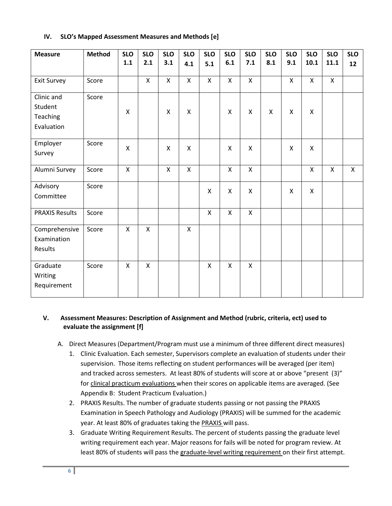## **IV. SLO's Mapped Assessment Measures and Methods [e]**

| <b>Measure</b>                                  | <b>Method</b> | <b>SLO</b>   | <b>SLO</b>   | <b>SLO</b>   | <b>SLO</b>     | <b>SLO</b>   | <b>SLO</b>   | <b>SLO</b>   | <b>SLO</b> | <b>SLO</b>     | <b>SLO</b>   | <b>SLO</b>     | <b>SLO</b> |
|-------------------------------------------------|---------------|--------------|--------------|--------------|----------------|--------------|--------------|--------------|------------|----------------|--------------|----------------|------------|
|                                                 |               | 1.1          | 2.1          | 3.1          | 4.1            | 5.1          | 6.1          | 7.1          | 8.1        | 9.1            | 10.1         | 11.1           | 12         |
| <b>Exit Survey</b>                              | Score         |              | $\mathsf{X}$ | $\mathsf{X}$ | $\pmb{\times}$ | $\mathsf{X}$ | $\mathsf{X}$ | $\mathsf{X}$ |            | $\pmb{\times}$ | $\mathsf{X}$ | $\mathsf{X}$   |            |
| Clinic and<br>Student<br>Teaching<br>Evaluation | Score         | X            |              | $\mathsf{x}$ | $\mathsf{X}$   |              | X            | $\mathsf{x}$ | X          | $\mathsf{X}$   | $\mathsf{X}$ |                |            |
| Employer<br>Survey                              | Score         | X            |              | X            | $\mathsf{X}$   |              | $\mathsf{X}$ | X            |            | X              | X            |                |            |
| Alumni Survey                                   | Score         | X            |              | X            | $\mathsf{X}$   |              | X            | $\mathsf{X}$ |            |                | $\mathsf{X}$ | $\pmb{\times}$ | X          |
| Advisory<br>Committee                           | Score         |              |              |              |                | X            | X            | $\mathsf{x}$ |            | X              | $\mathsf{X}$ |                |            |
| <b>PRAXIS Results</b>                           | Score         |              |              |              |                | $\mathsf{X}$ | $\mathsf{X}$ | $\mathsf{X}$ |            |                |              |                |            |
| Comprehensive<br>Examination<br>Results         | Score         | X            | X            |              | $\mathsf{x}$   |              |              |              |            |                |              |                |            |
| Graduate<br>Writing<br>Requirement              | Score         | $\mathsf{X}$ | $\mathsf{x}$ |              |                | $\mathsf{x}$ | $\mathsf{X}$ | $\mathsf{x}$ |            |                |              |                |            |

## **V. Assessment Measures: Description of Assignment and Method (rubric, criteria, ect) used to evaluate the assignment [f]**

- A. Direct Measures (Department/Program must use a minimum of three different direct measures)
	- 1. Clinic Evaluation. Each semester, Supervisors complete an evaluation of students under their supervision. Those items reflecting on student performances will be averaged (per item) and tracked across semesters. At least 80% of students will score at or above "present (3)" for clinical practicum evaluations when their scores on applicable items are averaged. (See Appendix B: Student Practicum Evaluation.)
	- 2. PRAXIS Results. The number of graduate students passing or not passing the PRAXIS Examination in Speech Pathology and Audiology (PRAXIS) will be summed for the academic year. At least 80% of graduates taking the PRAXIS will pass.
	- 3. Graduate Writing Requirement Results. The percent of students passing the graduate level writing requirement each year. Major reasons for fails will be noted for program review. At least 80% of students will pass the graduate-level writing requirement on their first attempt.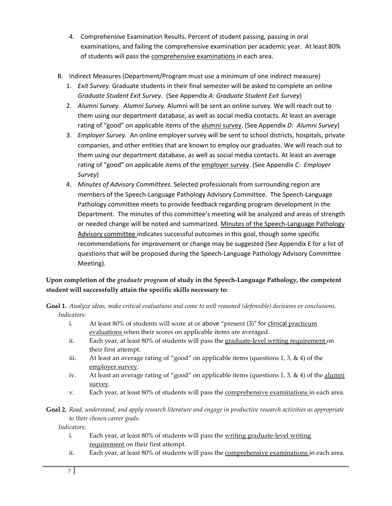- 4. Comprehensive Examination Results. Percent of student passing, passing in oral examinations, and failing the comprehensive examination per academic year. At least 80% of students will pass the comprehensive examinations in each area.
- B. Indirect Measures (Department/Program must use a minimum of one indirect measure)
	- 1. *Exit Survey.* Graduate students in their final semester will be asked to complete an online *Graduate Student Exit Survey.* (See Appendix *A: Graduate Student Exit Survey*)
	- 2. *Alumni Survey. Alumni Survey.* Alumni will be sent an online survey. We will reach out to them using our department database, as well as social media contacts. At least an average rating of "good" on applicable items of the alumni survey. (See Appendix *D: Alumni Survey*)
	- 3. *Employer Survey.* An online employer survey will be sent to school districts, hospitals, private companies, and other entities that are known to employ our graduates. We will reach out to them using our department database, as well as social media contacts. At least an average rating of "good" on applicable items of the employer survey. (See Appendix *C: Employer Survey*)
	- 4. *Minutes of Advisory Committees.* Selected professionals from surrounding region are members of the Speech-Language Pathology Advisory Committee. The Speech-Language Pathology committee meets to provide feedback regarding program development in the Department. The minutes of this committee's meeting will be analyzed and areas of strength or needed change will be noted and summarized. Minutes of the Speech-Language Pathology Advisory committee indicates successful outcomes in this goal, though some specific recommendations for improvement or change may be suggested (See Appendix E for a list of questions that will be proposed during the Speech-Language Pathology Advisory Committee Meeting).

# **Upon completion of the** *graduate program* **of study in the Speech-Language Pathology, the competent student will successfully attain the specific skills necessary to:**

**Goal 1.** *Analyze ideas, make critical evaluations and come to well reasoned (defensible) decisions or conclusions. Indicators:* 

- i. At least 80% of students will score at or above "present (3)" for clinical practicum evaluations when their scores on applicable items are averaged.
- ii. Each year, at least 80% of students will pass the graduate-level writing requirement on their first attempt.
- iii. At least an average rating of "good" on applicable items (questions 1, 3, & 4) of the employer survey.
- iv. At least an average rating of "good" on applicable items (questions 1, 3, & 4) of the alumni survey.
- v. Each year, at least 80% of students will pass the **comprehensive examinations** in each area.
- **Goal 2.** *Read, understand, and apply research literature and engage in productive research activities as appropriate to their chosen career goals.*

*Indicators:* 

- i. Each year, at least 80% of students will pass the writing graduate-level writing requirement on their first attempt.
- ii. Each year, at least 80% of students will pass the comprehensive examinations in each area.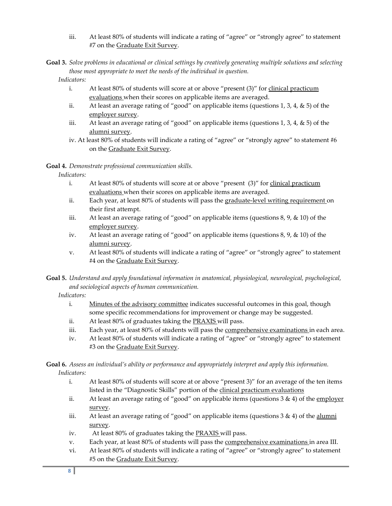iii. At least 80% of students will indicate a rating of "agree" or "strongly agree" to statement #7 on the Graduate Exit Survey.

**Goal 3.** *Solve problems in educational or clinical settings by creatively generating multiple solutions and selecting those most appropriate to meet the needs of the individual in question.*

*Indicators:* 

- i. At least 80% of students will score at or above "present (3)" for clinical practicum evaluations when their scores on applicable items are averaged.
- ii. At least an average rating of "good" on applicable items (questions 1, 3, 4, & 5) of the employer survey.
- iii. At least an average rating of "good" on applicable items (questions  $1, 3, 4, \& 5$ ) of the alumni survey.
- iv. At least 80% of students will indicate a rating of "agree" or "strongly agree" to statement #6 on the Graduate Exit Survey.

**Goal 4.** *Demonstrate professional communication skills.*

*Indicators:* 

- i. At least 80% of students will score at or above "present (3)" for clinical practicum evaluations when their scores on applicable items are averaged.
- ii. Each year, at least 80% of students will pass the graduate-level writing requirement on their first attempt.
- iii. At least an average rating of "good" on applicable items (questions 8, 9, & 10) of the employer survey.
- iv. At least an average rating of "good" on applicable items (questions 8, 9, & 10) of the alumni survey.
- v. At least 80% of students will indicate a rating of "agree" or "strongly agree" to statement #4 on the Graduate Exit Survey.
- **Goal 5.** *Understand and apply foundational information in anatomical, physiological, neurological, psychological, and sociological aspects of human communication.*

*Indicators:* 

- i. Minutes of the advisory committee indicates successful outcomes in this goal, though some specific recommendations for improvement or change may be suggested.
- ii. At least 80% of graduates taking the PRAXIS will pass.
- iii. Each year, at least 80% of students will pass the **comprehensive examinations** in each area.
- iv. At least 80% of students will indicate a rating of "agree" or "strongly agree" to statement #3 on the Graduate Exit Survey.

**Goal 6.** *Assess an individual's ability or performance and appropriately interpret and apply this information. Indicators:* 

- i. At least 80% of students will score at or above "present 3)" for an average of the ten items listed in the "Diagnostic Skills" portion of the clinical practicum evaluations
- ii. At least an average rating of "good" on applicable items (questions  $3 \& 4$ ) of the employer survey.
- iii. At least an average rating of "good" on applicable items (questions  $3 \& 4$ ) of the alumni survey.
- iv. At least 80% of graduates taking the **PRAXIS** will pass.
- v. Each year, at least 80% of students will pass the **comprehensive examinations** in area III.
- vi. At least 80% of students will indicate a rating of "agree" or "strongly agree" to statement #5 on the Graduate Exit Survey.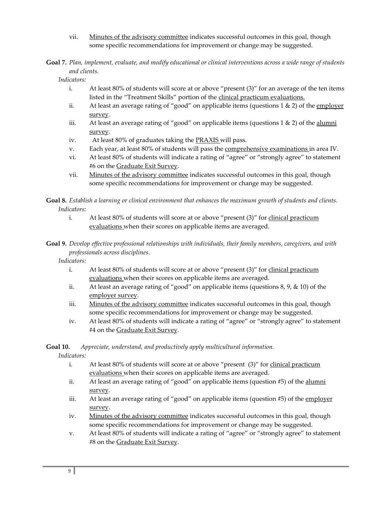- vii. Minutes of the advisory committee indicates successful outcomes in this goal, though some specific recommendations for improvement or change may be suggested.
- **Goal 7.** *Plan, implement, evaluate, and modify educational or clinical interventions across a wide range of students and clients.*

*Indicators:* 

- i. At least 80% of students will score at or above "present (3)" for an average of the ten items listed in the "Treatment Skills" portion of the clinical practicum evaluations.
- ii. At least an average rating of "good" on applicable items (questions  $1 \& 2$ ) of the employer survey.
- iii. At least an average rating of "good" on applicable items (questions  $1 \& 2$ ) of the alumni survey.
- iv. At least 80% of graduates taking the **PRAXIS** will pass.
- v. Each year, at least 80% of students will pass the **comprehensive examinations** in area IV.
- vi. At least 80% of students will indicate a rating of "agree" or "strongly agree" to statement #6 on the Graduate Exit Survey.
- vii. Minutes of the advisory committee indicates successful outcomes in this goal, though some specific recommendations for improvement or change may be suggested.

**Goal 8.** *Establish a learning or clinical environment that enhances the maximum growth of students and clients. Indicators:* 

- i. At least 80% of students will score at or above "present (3)" for clinical practicum evaluations when their scores on applicable items are averaged.
- **Goal 9.** *Develop effective professional relationships with individuals, their family members, caregivers, and with professionals across disciplines.*

*Indicators:* 

- i. At least 80% of students will score at or above "present (3)" for clinical practicum evaluations when their scores on applicable items are averaged.
- ii. At least an average rating of "good" on applicable items (questions 8, 9, & 10) of the employer survey.
- iii. Minutes of the advisory committee indicates successful outcomes in this goal, though some specific recommendations for improvement or change may be suggested.
- iv. At least 80% of students will indicate a rating of "agree" or "strongly agree" to statement #4 on the Graduate Exit Survey.

## **Goal 10.** *Appreciate, understand, and productively apply multicultural information.*

*Indicators:* 

- i. At least 80% of students will score at or above "present (3)" for clinical practicum evaluations when their scores on applicable items are averaged.
- ii. At least an average rating of "good" on applicable items (question #5) of the alumni survey.
- iii. At least an average rating of "good" on applicable items (question  $#5$ ) of the employer survey.
- iv. Minutes of the advisory committee indicates successful outcomes in this goal, though some specific recommendations for improvement or change may be suggested.
- v. At least 80% of students will indicate a rating of "agree" or "strongly agree" to statement #8 on the Graduate Exit Survey.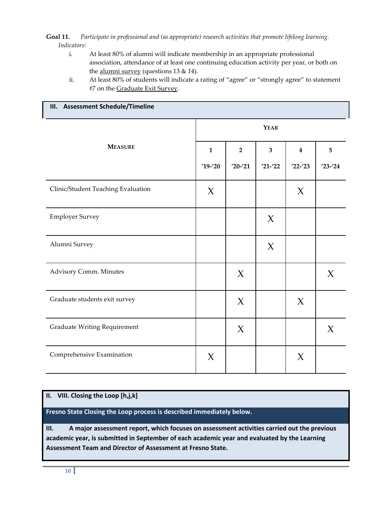**Goal 11.** *Participate in professional and (as appropriate) research activities that promote lifelong learning. Indicators:* 

- i. At least 80% of alumni will indicate membership in an appropriate professional association, attendance of at least one continuing education activity per year, or both on the alumni survey (questions 13 & 14).
- ii. At least 80% of students will indicate a rating of "agree" or "strongly agree" to statement #7 on the Graduate Exit Survey.

| III. Assessment Schedule/Timeline   |              |                |             |             |           |  |  |  |
|-------------------------------------|--------------|----------------|-------------|-------------|-----------|--|--|--|
|                                     | <b>YEAR</b>  |                |             |             |           |  |  |  |
| <b>MEASURE</b>                      | $\mathbf{1}$ | $\overline{2}$ | 3           | $\bf{4}$    | 5         |  |  |  |
|                                     | $'19-'20$    | $'20-'21$      | $'21 - '22$ | $'22 - '23$ | $'23-'24$ |  |  |  |
| Clinic/Student Teaching Evaluation  | $\chi$       |                |             | $\chi$      |           |  |  |  |
| <b>Employer Survey</b>              |              |                | $\chi$      |             |           |  |  |  |
| Alumni Survey                       |              |                | $\chi$      |             |           |  |  |  |
| Advisory Comm. Minutes              |              | $\chi$         |             |             | $\chi$    |  |  |  |
| Graduate students exit survey       |              | $\chi$         |             | $\chi$      |           |  |  |  |
| <b>Graduate Writing Requirement</b> |              | $\chi$         |             |             | $\chi$    |  |  |  |
| Comprehensive Examination           | $\chi$       |                |             | $\chi$      |           |  |  |  |

### **II. VIII. Closing the Loop [h,j,k]**

**Fresno State Closing the Loop process is described immediately below.**

**III. A major assessment report, which focuses on assessment activities carried out the previous academic year, is submitted in September of each academic year and evaluated by the Learning Assessment Team and Director of Assessment at Fresno State.**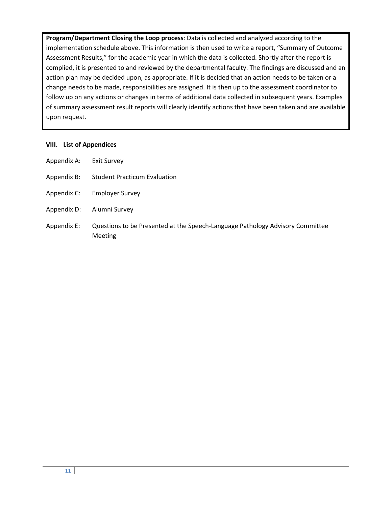**Program/Department Closing the Loop process**: Data is collected and analyzed according to the implementation schedule above. This information is then used to write a report, "Summary of Outcome Assessment Results," for the academic year in which the data is collected. Shortly after the report is complied, it is presented to and reviewed by the departmental faculty. The findings are discussed and an action plan may be decided upon, as appropriate. If it is decided that an action needs to be taken or a change needs to be made, responsibilities are assigned. It is then up to the assessment coordinator to follow up on any actions or changes in terms of additional data collected in subsequent years. Examples of summary assessment result reports will clearly identify actions that have been taken and are available upon request.

## **VIII. List of Appendices**

Appendix A: Exit Survey Appendix B: Student Practicum Evaluation Appendix C: Employer Survey Appendix D: Alumni Survey Appendix E: Questions to be Presented at the Speech-Language Pathology Advisory Committee Meeting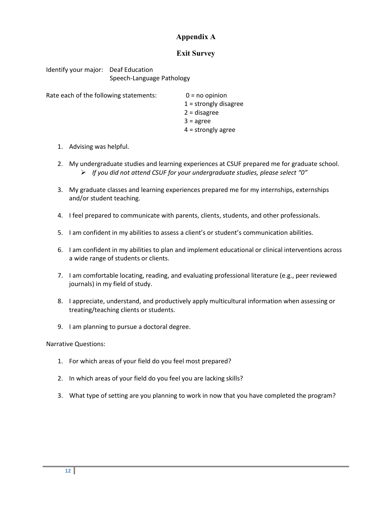# **Appendix A**

## **Exit Survey**

Identify your major: Deaf Education Speech-Language Pathology

Rate each of the following statements:  $0 = no$  opinion

 $1 =$  strongly disagree 2 = disagree  $3 = \text{agree}$ 4 = strongly agree

- 1. Advising was helpful.
- 2. My undergraduate studies and learning experiences at CSUF prepared me for graduate school. *If you did not attend CSUF for your undergraduate studies, please select "0"*
- 3. My graduate classes and learning experiences prepared me for my internships, externships and/or student teaching.
- 4. I feel prepared to communicate with parents, clients, students, and other professionals.
- 5. I am confident in my abilities to assess a client's or student's communication abilities.
- 6. I am confident in my abilities to plan and implement educational or clinical interventions across a wide range of students or clients.
- 7. I am comfortable locating, reading, and evaluating professional literature (e.g., peer reviewed journals) in my field of study.
- 8. I appreciate, understand, and productively apply multicultural information when assessing or treating/teaching clients or students.
- 9. I am planning to pursue a doctoral degree.

### Narrative Questions:

- 1. For which areas of your field do you feel most prepared?
- 2. In which areas of your field do you feel you are lacking skills?
- 3. What type of setting are you planning to work in now that you have completed the program?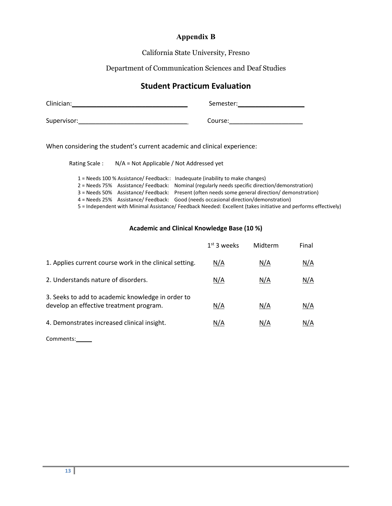# **Appendix B**

California State University, Fresno

# Department of Communication Sciences and Deaf Studies

# **Student Practicum Evaluation**

| Clinician:  | Semester: |
|-------------|-----------|
| Supervisor: | Course:   |

When considering the student's current academic and clinical experience:

| Rating Scale: | $N/A$ = Not Applicable / Not Addressed yet |                                                                                                                                                                                                                                                                                                                                                                                                                                                                                              |
|---------------|--------------------------------------------|----------------------------------------------------------------------------------------------------------------------------------------------------------------------------------------------------------------------------------------------------------------------------------------------------------------------------------------------------------------------------------------------------------------------------------------------------------------------------------------------|
|               |                                            | 1 = Needs 100 % Assistance/ Feedback:: Inadequate (inability to make changes)<br>2 = Needs 75% Assistance/ Feedback: Nominal (regularly needs specific direction/demonstration)<br>3 = Needs 50% Assistance/ Feedback: Present (often needs some general direction/ demonstration)<br>4 = Needs 25% Assistance/ Feedback: Good (needs occasional direction/demonstration)<br>5 = Independent with Minimal Assistance/ Feedback Needed: Excellent (takes initiative and performs effectively) |
|               |                                            |                                                                                                                                                                                                                                                                                                                                                                                                                                                                                              |

### **Academic and Clinical Knowledge Base (10 %)**

|                                                                                              | $1st$ 3 weeks | Midterm | Final |
|----------------------------------------------------------------------------------------------|---------------|---------|-------|
| 1. Applies current course work in the clinical setting.                                      | N/A           | N/A     | N/A   |
| 2. Understands nature of disorders.                                                          | N/A           | N/A     | N/A   |
| 3. Seeks to add to academic knowledge in order to<br>develop an effective treatment program. | N/A           | N/A     | N/A   |
| 4. Demonstrates increased clinical insight.                                                  | N/A           | N/A     | N/A   |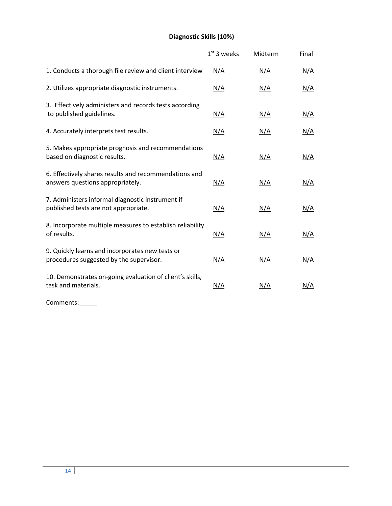# **Diagnostic Skills (10%)**

|                                                                                            | $1st$ 3 weeks | Midterm    | Final      |
|--------------------------------------------------------------------------------------------|---------------|------------|------------|
| 1. Conducts a thorough file review and client interview                                    | N/A           | N/A        | N/A        |
| 2. Utilizes appropriate diagnostic instruments.                                            | N/A           | N/A        | N/A        |
| 3. Effectively administers and records tests according<br>to published guidelines.         | <u>N/A</u>    | N/A        | N/A        |
| 4. Accurately interprets test results.                                                     | N/A           | N/A        | N/A        |
| 5. Makes appropriate prognosis and recommendations<br>based on diagnostic results.         | <u>N/A</u>    | <u>N/A</u> | N/A        |
| 6. Effectively shares results and recommendations and<br>answers questions appropriately.  | <u>N/A</u>    | <u>N/A</u> | N/A        |
| 7. Administers informal diagnostic instrument if<br>published tests are not appropriate.   | <u>N/A</u>    | N/A        | <u>N/A</u> |
| 8. Incorporate multiple measures to establish reliability<br>of results.                   | N/A           | N/A        | N/A        |
| 9. Quickly learns and incorporates new tests or<br>procedures suggested by the supervisor. | N/A           | N/A        | N/A        |
| 10. Demonstrates on-going evaluation of client's skills,<br>task and materials.            | <u>N/A</u>    | N/A        | N/A        |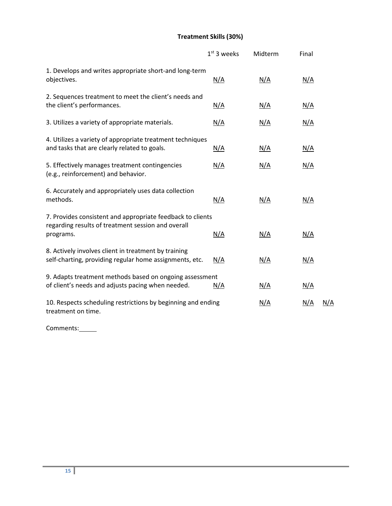# **Treatment Skills (30%)**

|                                                                                                                 | $1st$ 3 weeks | Midterm    | Final      |     |
|-----------------------------------------------------------------------------------------------------------------|---------------|------------|------------|-----|
| 1. Develops and writes appropriate short-and long-term<br>objectives.                                           | <u>N/A</u>    | <u>N/A</u> | <u>N/A</u> |     |
| 2. Sequences treatment to meet the client's needs and<br>the client's performances.                             | <u>N/A</u>    | <u>N/A</u> | N/A        |     |
| 3. Utilizes a variety of appropriate materials.                                                                 | <u>N/A</u>    | <u>N/A</u> | <u>N/A</u> |     |
| 4. Utilizes a variety of appropriate treatment techniques<br>and tasks that are clearly related to goals.       | <u>N/A</u>    | <u>N/A</u> | <u>N/A</u> |     |
| 5. Effectively manages treatment contingencies<br>(e.g., reinforcement) and behavior.                           | <u>N/A</u>    | <u>N/A</u> | <u>N/A</u> |     |
| 6. Accurately and appropriately uses data collection<br>methods.                                                | N/A           | N/A        | N/A        |     |
| 7. Provides consistent and appropriate feedback to clients                                                      |               |            |            |     |
| regarding results of treatment session and overall<br>programs.                                                 | N/A           | <u>N/A</u> | N/A        |     |
| 8. Actively involves client in treatment by training<br>self-charting, providing regular home assignments, etc. | N/A           | N/A        | N/A        |     |
| 9. Adapts treatment methods based on ongoing assessment<br>of client's needs and adjusts pacing when needed.    | N/A           | <u>N/A</u> | N/A        |     |
| 10. Respects scheduling restrictions by beginning and ending<br>treatment on time.                              |               | <u>N/A</u> | N/A        | N/A |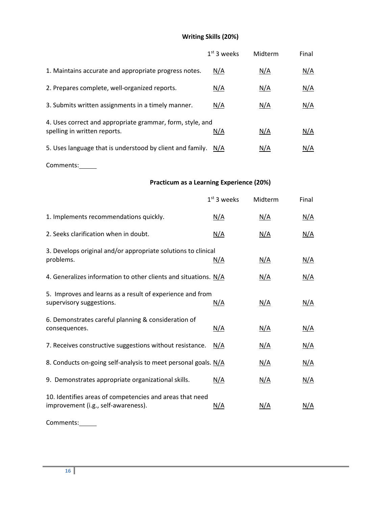# **Writing Skills (20%)**

|                                                                                           | $1st$ 3 weeks | Midterm | Final |
|-------------------------------------------------------------------------------------------|---------------|---------|-------|
| 1. Maintains accurate and appropriate progress notes.                                     | N/A           | N/A     | N/A   |
| 2. Prepares complete, well-organized reports.                                             | N/A           | N/A     | N/A   |
| 3. Submits written assignments in a timely manner.                                        | N/A           | N/A     | N/A   |
| 4. Uses correct and appropriate grammar, form, style, and<br>spelling in written reports. | N/A           | N/A     | N/A   |
| 5. Uses language that is understood by client and family.                                 | N/A           | N/A     | N/A   |

Comments:\_\_\_\_\_

## **Practicum as a Learning Experience (20%)**

|                                                                                                 | $1st$ 3 weeks | Midterm    | Final      |
|-------------------------------------------------------------------------------------------------|---------------|------------|------------|
| 1. Implements recommendations quickly.                                                          | <u>N/A</u>    | <u>N/A</u> | <u>N/A</u> |
| 2. Seeks clarification when in doubt.                                                           | N/A           | <u>N/A</u> | <u>N/A</u> |
| 3. Develops original and/or appropriate solutions to clinical<br>problems.                      | <u>N/A</u>    | <u>N/A</u> | <u>N/A</u> |
| 4. Generalizes information to other clients and situations. N/A                                 |               | <u>N/A</u> | <u>N/A</u> |
| 5. Improves and learns as a result of experience and from<br>supervisory suggestions.           | N/A           | <u>N/A</u> | N/A        |
| 6. Demonstrates careful planning & consideration of<br>consequences.                            | <u>N/A</u>    | <u>N/A</u> | <u>N/A</u> |
| 7. Receives constructive suggestions without resistance.                                        | N/A           | <u>N/A</u> | <u>N/A</u> |
| 8. Conducts on-going self-analysis to meet personal goals. N/A                                  |               | <u>N/A</u> | <u>N/A</u> |
| 9. Demonstrates appropriate organizational skills.                                              | N/A           | <u>N/A</u> | <u>N/A</u> |
| 10. Identifies areas of competencies and areas that need<br>improvement (i.g., self-awareness). | <u>N/A</u>    | <u>N/A</u> | <u>N/A</u> |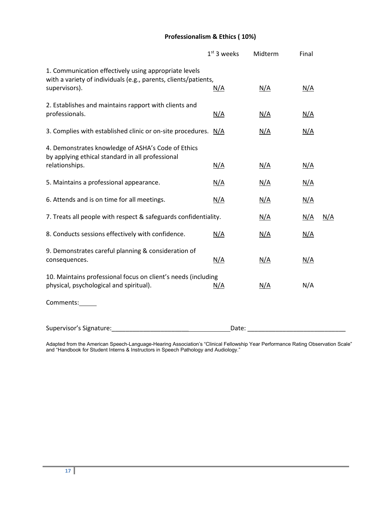# **Professionalism & Ethics ( 10%)**

|                                                                                                                          | $1st$ 3 weeks | Midterm    | Final      |            |
|--------------------------------------------------------------------------------------------------------------------------|---------------|------------|------------|------------|
| 1. Communication effectively using appropriate levels<br>with a variety of individuals (e.g., parents, clients/patients, |               |            |            |            |
| supervisors).                                                                                                            | N/A           | <u>N/A</u> | N/A        |            |
| 2. Establishes and maintains rapport with clients and<br>professionals.                                                  | N/A           | <u>N/A</u> | <u>N/A</u> |            |
| 3. Complies with established clinic or on-site procedures. N/A                                                           |               | <u>N/A</u> | <u>N/A</u> |            |
| 4. Demonstrates knowledge of ASHA's Code of Ethics<br>by applying ethical standard in all professional                   |               |            |            |            |
| relationships.                                                                                                           | N/A           | <u>N/A</u> | N/A        |            |
| 5. Maintains a professional appearance.                                                                                  | <u>N/A</u>    | <u>N/A</u> | <u>N/A</u> |            |
| 6. Attends and is on time for all meetings.                                                                              | N/A           | <u>N/A</u> | <u>N/A</u> |            |
| 7. Treats all people with respect & safeguards confidentiality.                                                          |               | <u>N/A</u> | <u>N/A</u> | <u>N/A</u> |
| 8. Conducts sessions effectively with confidence.                                                                        | N/A           | <u>N/A</u> | <u>N/A</u> |            |
| 9. Demonstrates careful planning & consideration of<br>consequences.                                                     | <u>N/A</u>    | <u>N/A</u> | <u>N/A</u> |            |
| 10. Maintains professional focus on client's needs (including<br>physical, psychological and spiritual).                 | N/A           | <u>N/A</u> | N/A        |            |
| Comments:                                                                                                                |               |            |            |            |
| Supervisor's Signature:                                                                                                  |               | Date:      |            |            |

Adapted from the American Speech-Language-Hearing Association's "Clinical Fellowship Year Performance Rating Observation Scale" and "Handbook for Student Interns & Instructors in Speech Pathology and Audiology."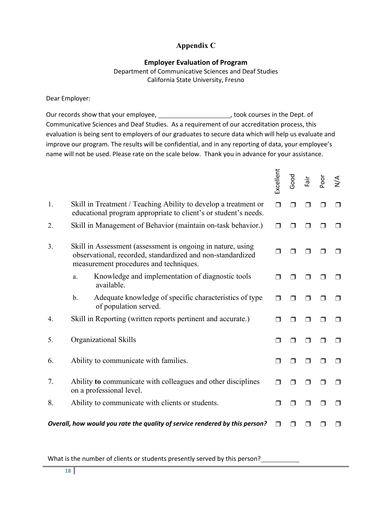# **Appendix C**

## **Employer Evaluation of Program**

Department of Communicative Sciences and Deaf Studies California State University, Fresno

### Dear Employer:

Our records show that your employee, \_\_\_\_\_\_\_\_\_\_\_\_\_\_\_\_\_\_\_\_\_\_\_\_, took courses in the Dept. of Communicative Sciences and Deaf Studies. As a requirement of our accreditation process, this evaluation is being sent to employers of our graduates to secure data which will help us evaluate and improve our program. The results will be confidential, and in any reporting of data, your employee's name will not be used. Please rate on the scale below. Thank you in advance for your assistance.

|    |                                                                                                                                                                     | Excellent | Good   | Fair         | Poor | $\frac{4}{5}$ |
|----|---------------------------------------------------------------------------------------------------------------------------------------------------------------------|-----------|--------|--------------|------|---------------|
| 1. | Skill in Treatment / Teaching Ability to develop a treatment or<br>educational program appropriate to client's or student's needs.                                  | ⊓         |        |              |      |               |
| 2. | Skill in Management of Behavior (maintain on-task behavior.)                                                                                                        | ⊓         | □      | l 1          |      |               |
| 3. | Skill in Assessment (assessment is ongoing in nature, using<br>observational, recorded, standardized and non-standardized<br>measurement procedures and techniques. |           |        |              |      |               |
|    | Knowledge and implementation of diagnostic tools<br>a.<br>available.                                                                                                | ⊓         |        |              |      |               |
|    | Adequate knowledge of specific characteristics of type<br>$b$ .<br>of population served.                                                                            | ⊓         | □      | ⊓            |      |               |
| 4. | Skill in Reporting (written reports pertinent and accurate.)                                                                                                        | ⊓         | □      | $\mathbf{I}$ |      |               |
| 5. | Organizational Skills                                                                                                                                               | ⊓         | $\Box$ | ⊓            |      |               |
| 6. | Ability to communicate with families.                                                                                                                               | $\Box$    | $\Box$ | ⊓            |      |               |
| 7. | Ability to communicate with colleagues and other disciplines<br>on a professional level.                                                                            | ⊓         | ⊓      | l 1          |      |               |
| 8. | Ability to communicate with clients or students.                                                                                                                    | ⊓         | $\Box$ | ⊓            | - 1  | H             |
|    | Overall, how would you rate the quality of service rendered by this person?                                                                                         | ⊓         | l 1    |              |      |               |

What is the number of clients or students presently served by this person?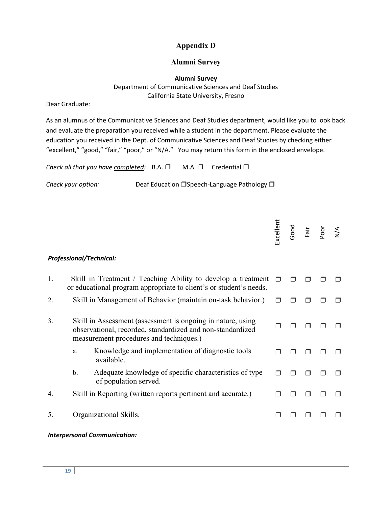# **Appendix D**

## **Alumni Survey**

**Alumni Survey** Department of Communicative Sciences and Deaf Studies California State University, Fresno

Dear Graduate:

As an alumnus of the Communicative Sciences and Deaf Studies department, would like you to look back and evaluate the preparation you received while a student in the department. Please evaluate the education you received in the Dept. of Communicative Sciences and Deaf Studies by checking either "excellent," "good," "fair," "poor," or "N/A." You may return this form in the enclosed envelope.

*Check all that you have completed:* B.A. ❒ M.A. ❒ Credential ❒

*Check your option:* Deaf Education ❒Speech-Language Pathology ❒

|    |                                                                                                                                                                      | xcellent | Good | Fair | por | $\frac{4}{5}$ |
|----|----------------------------------------------------------------------------------------------------------------------------------------------------------------------|----------|------|------|-----|---------------|
|    | <b>Professional/Technical:</b>                                                                                                                                       |          |      |      |     |               |
| 1. | Skill in Treatment / Teaching Ability to develop a treatment<br>or educational program appropriate to client's or student's needs.                                   | ⊓        |      |      |     |               |
| 2. | Skill in Management of Behavior (maintain on-task behavior.)                                                                                                         |          |      |      |     |               |
| 3. | Skill in Assessment (assessment is ongoing in nature, using<br>observational, recorded, standardized and non-standardized<br>measurement procedures and techniques.) |          |      |      |     |               |
|    | Knowledge and implementation of diagnostic tools<br>a.<br>available.                                                                                                 |          |      |      |     |               |
|    | Adequate knowledge of specific characteristics of type<br>b.<br>of population served.                                                                                |          |      |      |     |               |
| 4. | Skill in Reporting (written reports pertinent and accurate.)                                                                                                         | ⊓        |      |      |     |               |
| 5. | Organizational Skills.                                                                                                                                               |          |      |      |     |               |

### *Interpersonal Communication:*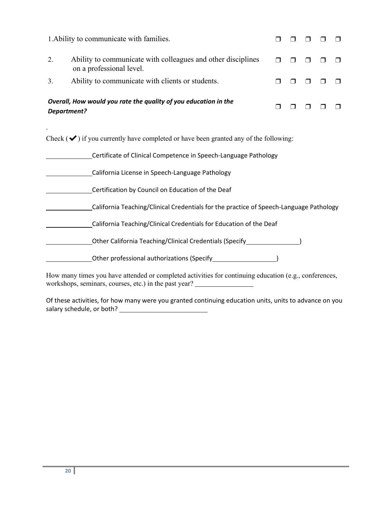| 1. Ability to communicate with families.                                       |                                                                                          |  |  |  |
|--------------------------------------------------------------------------------|------------------------------------------------------------------------------------------|--|--|--|
| 2.                                                                             | Ability to communicate with colleagues and other disciplines<br>on a professional level. |  |  |  |
| 3.                                                                             | Ability to communicate with clients or students.                                         |  |  |  |
| Overall, How would you rate the quality of you education in the<br>Department? |                                                                                          |  |  |  |

Check  $(\blacktriangleright)$  if you currently have completed or have been granted any of the following:

| Certificate of Clinical Competence in Speech-Language Pathology                        |
|----------------------------------------------------------------------------------------|
| California License in Speech-Language Pathology                                        |
| Certification by Council on Education of the Deaf                                      |
| California Teaching/Clinical Credentials for the practice of Speech-Language Pathology |
| California Teaching/Clinical Credentials for Education of the Deaf                     |
| Other California Teaching/Clinical Credentials (Specify                                |
| Other professional authorizations (Specify                                             |
|                                                                                        |

How many times you have attended or completed activities for continuing education (e.g., conferences, workshops, seminars, courses, etc.) in the past year?

Of these activities, for how many were you granted continuing education units, units to advance on you salary schedule, or both?

∙